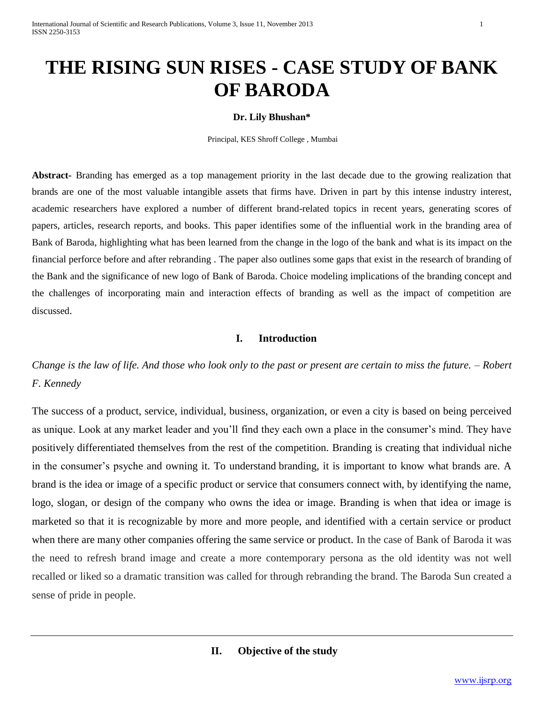# **THE RISING SUN RISES - CASE STUDY OF BANK OF BARODA**

#### **Dr. Lily Bhushan\***

Principal, KES Shroff College , Mumbai

**Abstract-** Branding has emerged as a top management priority in the last decade due to the growing realization that brands are one of the most valuable intangible assets that firms have. Driven in part by this intense industry interest, academic researchers have explored a number of different brand-related topics in recent years, generating scores of papers, articles, research reports, and books. This paper identifies some of the influential work in the branding area of Bank of Baroda, highlighting what has been learned from the change in the logo of the bank and what is its impact on the financial perforce before and after rebranding . The paper also outlines some gaps that exist in the research of branding of the Bank and the significance of new logo of Bank of Baroda. Choice modeling implications of the branding concept and the challenges of incorporating main and interaction effects of branding as well as the impact of competition are discussed.

# **I. Introduction**

*Change is the law of life. And those who look only to the past or present are certain to miss the future. – Robert F. Kennedy*

The success of a product, service, individual, business, organization, or even a city is based on being perceived as unique. Look at any market leader and you'll find they each own a place in the consumer's mind. They have positively differentiated themselves from the rest of the competition. Branding is creating that individual niche in the consumer's psyche and owning it. To understand branding, it is important to know what brands are. A brand is the idea or image of a specific product or service that consumers connect with, by identifying the name, logo, slogan, or design of the company who owns the idea or image. Branding is when that idea or image is marketed so that it is recognizable by more and more people, and identified with a certain service or product when there are many other companies offering the same service or product. In the case of Bank of Baroda it was the need to refresh brand image and create a more contemporary persona as the old identity was not well recalled or liked so a dramatic transition was called for through rebranding the brand. The Baroda Sun created a sense of pride in people.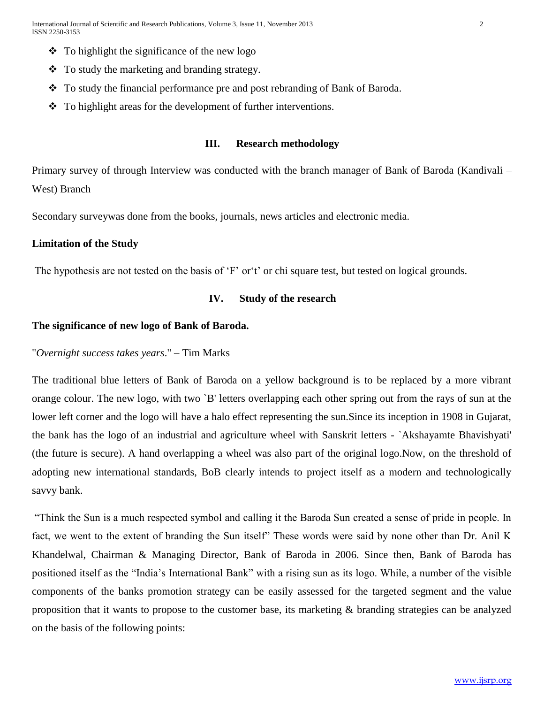- $\bullet$  To highlight the significance of the new logo
- $\triangle$  To study the marketing and branding strategy.
- \* To study the financial performance pre and post rebranding of Bank of Baroda.
- To highlight areas for the development of further interventions.

# **III. Research methodology**

Primary survey of through Interview was conducted with the branch manager of Bank of Baroda (Kandivali – West) Branch

Secondary surveywas done from the books, journals, news articles and electronic media.

#### **Limitation of the Study**

The hypothesis are not tested on the basis of 'F' or't' or chi square test, but tested on logical grounds.

# **IV. Study of the research**

# **The significance of new logo of Bank of Baroda.**

# "*Overnight success takes years*." – Tim Marks

The traditional blue letters of Bank of Baroda on a yellow background is to be replaced by a more vibrant orange colour. The new logo, with two `B' letters overlapping each other spring out from the rays of sun at the lower left corner and the logo will have a halo effect representing the sun.Since its inception in 1908 in Gujarat, the bank has the logo of an industrial and agriculture wheel with Sanskrit letters - `Akshayamte Bhavishyati' (the future is secure). A hand overlapping a wheel was also part of the original logo.Now, on the threshold of adopting new international standards, BoB clearly intends to project itself as a modern and technologically savvy bank.

"Think the Sun is a much respected symbol and calling it the Baroda Sun created a sense of pride in people. In fact, we went to the extent of branding the Sun itself" These words were said by none other than Dr. Anil K Khandelwal, Chairman & Managing Director, Bank of Baroda in 2006. Since then, Bank of Baroda has positioned itself as the "India's International Bank" with a rising sun as its logo. While, a number of the visible components of the banks promotion strategy can be easily assessed for the targeted segment and the value proposition that it wants to propose to the customer base, its marketing & branding strategies can be analyzed on the basis of the following points: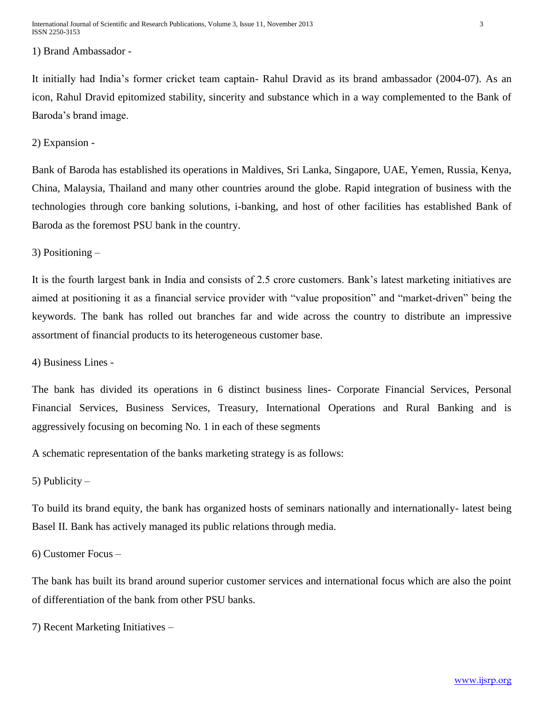#### 1) Brand Ambassador -

It initially had India's former cricket team captain- Rahul Dravid as its brand ambassador (2004-07). As an icon, Rahul Dravid epitomized stability, sincerity and substance which in a way complemented to the Bank of Baroda's brand image.

#### 2) Expansion -

Bank of Baroda has established its operations in Maldives, Sri Lanka, Singapore, UAE, Yemen, Russia, Kenya, China, Malaysia, Thailand and many other countries around the globe. Rapid integration of business with the technologies through core banking solutions, i-banking, and host of other facilities has established Bank of Baroda as the foremost PSU bank in the country.

3) Positioning –

It is the fourth largest bank in India and consists of 2.5 crore customers. Bank's latest marketing initiatives are aimed at positioning it as a financial service provider with "value proposition" and "market-driven" being the keywords. The bank has rolled out branches far and wide across the country to distribute an impressive assortment of financial products to its heterogeneous customer base.

4) Business Lines -

The bank has divided its operations in 6 distinct business lines- Corporate Financial Services, Personal Financial Services, Business Services, Treasury, International Operations and Rural Banking and is aggressively focusing on becoming No. 1 in each of these segments

A schematic representation of the banks marketing strategy is as follows:

5) Publicity –

To build its brand equity, the bank has organized hosts of seminars nationally and internationally- latest being Basel II. Bank has actively managed its public relations through media.

6) Customer Focus –

The bank has built its brand around superior customer services and international focus which are also the point of differentiation of the bank from other PSU banks.

7) Recent Marketing Initiatives –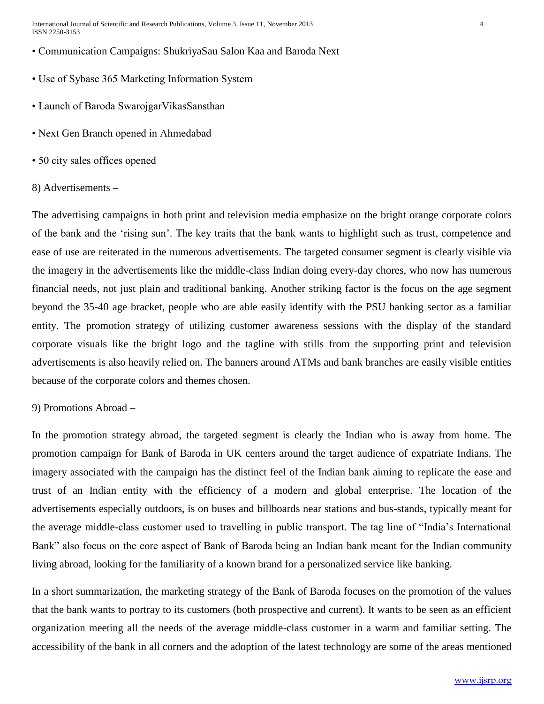International Journal of Scientific and Research Publications, Volume 3, Issue 11, November 2013 4 ISSN 2250-3153

- Communication Campaigns: ShukriyaSau Salon Kaa and Baroda Next
- Use of Sybase 365 Marketing Information System
- Launch of Baroda SwarojgarVikasSansthan
- Next Gen Branch opened in Ahmedabad
- 50 city sales offices opened

# 8) Advertisements –

The advertising campaigns in both print and television media emphasize on the bright orange corporate colors of the bank and the 'rising sun'. The key traits that the bank wants to highlight such as trust, competence and ease of use are reiterated in the numerous advertisements. The targeted consumer segment is clearly visible via the imagery in the advertisements like the middle-class Indian doing every-day chores, who now has numerous financial needs, not just plain and traditional banking. Another striking factor is the focus on the age segment beyond the 35-40 age bracket, people who are able easily identify with the PSU banking sector as a familiar entity. The promotion strategy of utilizing customer awareness sessions with the display of the standard corporate visuals like the bright logo and the tagline with stills from the supporting print and television advertisements is also heavily relied on. The banners around ATMs and bank branches are easily visible entities because of the corporate colors and themes chosen.

# 9) Promotions Abroad –

In the promotion strategy abroad, the targeted segment is clearly the Indian who is away from home. The promotion campaign for Bank of Baroda in UK centers around the target audience of expatriate Indians. The imagery associated with the campaign has the distinct feel of the Indian bank aiming to replicate the ease and trust of an Indian entity with the efficiency of a modern and global enterprise. The location of the advertisements especially outdoors, is on buses and billboards near stations and bus-stands, typically meant for the average middle-class customer used to travelling in public transport. The tag line of "India's International Bank" also focus on the core aspect of Bank of Baroda being an Indian bank meant for the Indian community living abroad, looking for the familiarity of a known brand for a personalized service like banking.

In a short summarization, the marketing strategy of the Bank of Baroda focuses on the promotion of the values that the bank wants to portray to its customers (both prospective and current). It wants to be seen as an efficient organization meeting all the needs of the average middle-class customer in a warm and familiar setting. The accessibility of the bank in all corners and the adoption of the latest technology are some of the areas mentioned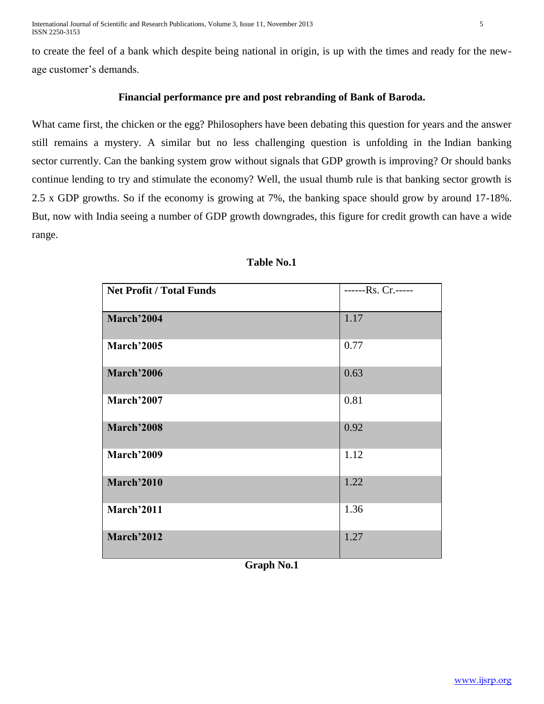to create the feel of a bank which despite being national in origin, is up with the times and ready for the newage customer's demands.

# **Financial performance pre and post rebranding of Bank of Baroda.**

What came first, the chicken or the egg? Philosophers have been debating this question for years and the answer still remains a mystery. A similar but no less challenging question is unfolding in the [Indian banking](http://www.equitymaster.com/research-it/sector-info/bank/Banking-Sector-Analysis-Report.asp)  [sector](http://www.equitymaster.com/research-it/sector-info/bank/Banking-Sector-Analysis-Report.asp) currently. Can the banking system grow without signals that GDP growth is improving? Or should banks continue lending to try and stimulate the economy? Well, the usual thumb rule is that banking sector growth is 2.5 x GDP growths. So if the economy is growing at 7%, the banking space should grow by around 17-18%. But, now with India seeing a number of GDP growth downgrades, this figure for credit growth can have a wide range.

| <b>Net Profit / Total Funds</b> | ------Rs. Cr.----- |
|---------------------------------|--------------------|
| March'2004                      | 1.17               |
| March'2005                      | 0.77               |
| <b>March'2006</b>               | 0.63               |
| March'2007                      | 0.81               |
| <b>March'2008</b>               | 0.92               |
| <b>March'2009</b>               | 1.12               |
| <b>March'2010</b>               | 1.22               |
| March'2011                      | 1.36               |
| March'2012                      | 1.27               |

# **Table No.1**

**Graph No.1**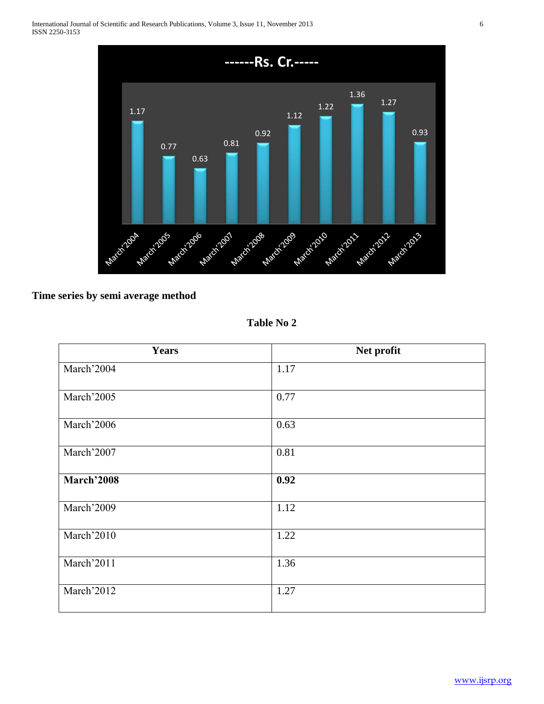

# **Time series by semi average method**

**Table No 2**

| <b>Years</b>      | Net profit |
|-------------------|------------|
| March'2004        | 1.17       |
| March'2005        | 0.77       |
| March'2006        | 0.63       |
| March'2007        | 0.81       |
| <b>March'2008</b> | 0.92       |
| March'2009        | 1.12       |
| March'2010        | 1.22       |
| March'2011        | 1.36       |
| March'2012        | 1.27       |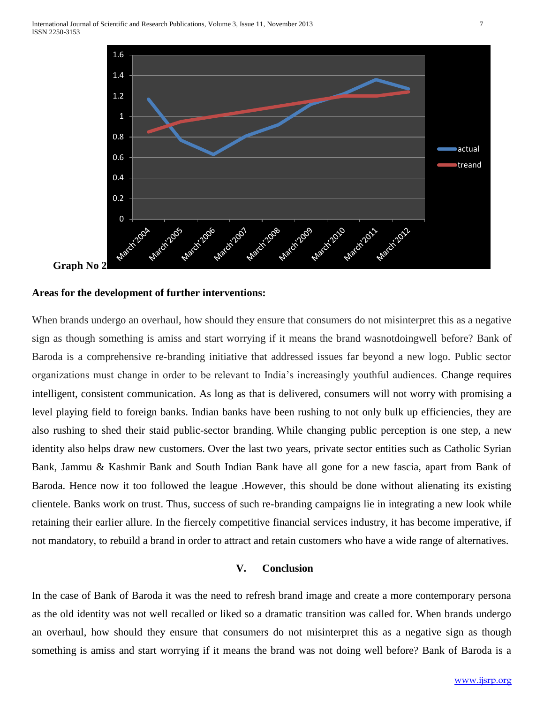

#### **Areas for the development of further interventions:**

When brands undergo an overhaul, how should they ensure that consumers do not misinterpret this as a negative sign as though something is amiss and start worrying if it means the brand wasnotdoingwell before? Bank of Baroda is a comprehensive re-branding initiative that addressed issues far beyond a new logo. Public sector organizations must change in order to be relevant to India's increasingly youthful audiences. Change requires intelligent, consistent communication. As long as that is delivered, consumers will not worry with promising a level playing field to foreign banks. Indian banks have been rushing to not only bulk up efficiencies, they are also rushing to shed their staid public-sector branding. While changing public perception is one step, a new identity also helps draw new customers. Over the last two years, private sector entities such as Catholic Syrian Bank, Jammu & Kashmir Bank and South Indian Bank have all gone for a new fascia, apart from Bank of Baroda. Hence now it too followed the league .However, this should be done without alienating its existing clientele. Banks work on trust. Thus, success of such re-branding campaigns lie in integrating a new look while retaining their earlier allure. In the fiercely competitive financial services industry, it has become imperative, if not mandatory, to rebuild a brand in order to attract and retain customers who have a wide range of alternatives.

# **V. Conclusion**

In the case of Bank of Baroda it was the need to refresh brand image and create a more contemporary persona as the old identity was not well recalled or liked so a dramatic transition was called for. When brands undergo an overhaul, how should they ensure that consumers do not misinterpret this as a negative sign as though something is amiss and start worrying if it means the brand was not doing well before? Bank of Baroda is a